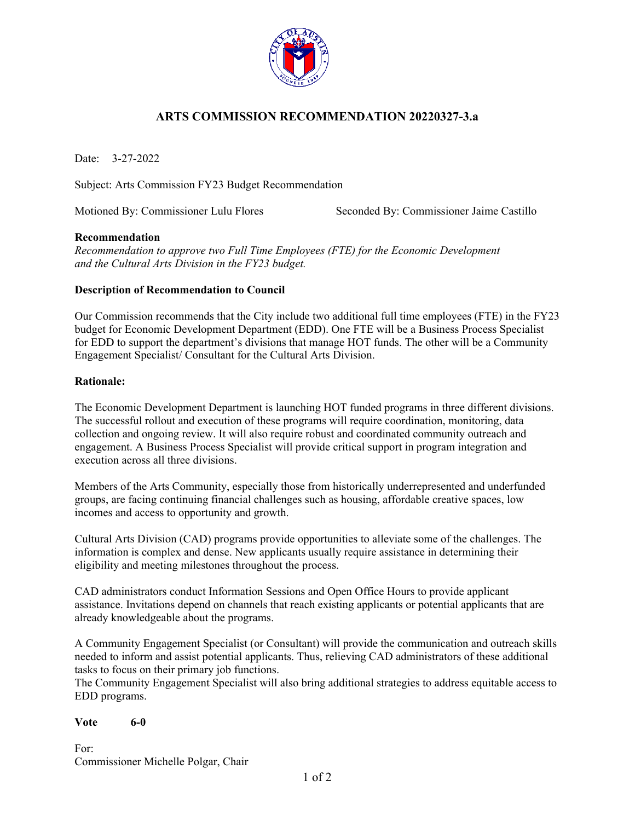

# **ARTS COMMISSION RECOMMENDATION 20220327-3.a**

Date: 3-27-2022

Subject: Arts Commission FY23 Budget Recommendation

Motioned By: Commissioner Lulu Flores Seconded By: Commissioner Jaime Castillo

## **Recommendation**

*Recommendation to approve two Full Time Employees (FTE) for the Economic Development and the Cultural Arts Division in the FY23 budget.* 

## **Description of Recommendation to Council**

Our Commission recommends that the City include two additional full time employees (FTE) in the FY23 budget for Economic Development Department (EDD). One FTE will be a Business Process Specialist for EDD to support the department's divisions that manage HOT funds. The other will be a Community Engagement Specialist/ Consultant for the Cultural Arts Division.

## **Rationale:**

The Economic Development Department is launching HOT funded programs in three different divisions. The successful rollout and execution of these programs will require coordination, monitoring, data collection and ongoing review. It will also require robust and coordinated community outreach and engagement. A Business Process Specialist will provide critical support in program integration and execution across all three divisions.

Members of the Arts Community, especially those from historically underrepresented and underfunded groups, are facing continuing financial challenges such as housing, affordable creative spaces, low incomes and access to opportunity and growth.

Cultural Arts Division (CAD) programs provide opportunities to alleviate some of the challenges. The information is complex and dense. New applicants usually require assistance in determining their eligibility and meeting milestones throughout the process.

CAD administrators conduct Information Sessions and Open Office Hours to provide applicant assistance. Invitations depend on channels that reach existing applicants or potential applicants that are already knowledgeable about the programs.

A Community Engagement Specialist (or Consultant) will provide the communication and outreach skills needed to inform and assist potential applicants. Thus, relieving CAD administrators of these additional tasks to focus on their primary job functions.

The Community Engagement Specialist will also bring additional strategies to address equitable access to EDD programs.

### **Vote 6-0**

For: Commissioner Michelle Polgar, Chair